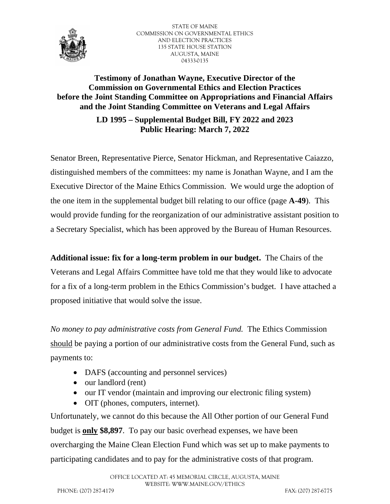

STATE OF MAINE COMMISSION ON GOVERNMENTAL ETHICS AND ELECTION PRACTICES 135 STATE HOUSE STATION AUGUSTA, MAINE 04333-0135

# **Testimony of Jonathan Wayne, Executive Director of the Commission on Governmental Ethics and Election Practices before the Joint Standing Committee on Appropriations and Financial Affairs and the Joint Standing Committee on Veterans and Legal Affairs**

**LD 1995 – Supplemental Budget Bill, FY 2022 and 2023 Public Hearing: March 7, 2022**

Senator Breen, Representative Pierce, Senator Hickman, and Representative Caiazzo, distinguished members of the committees: my name is Jonathan Wayne, and I am the Executive Director of the Maine Ethics Commission. We would urge the adoption of the one item in the supplemental budget bill relating to our office (page **A-49**). This would provide funding for the reorganization of our administrative assistant position to a Secretary Specialist, which has been approved by the Bureau of Human Resources.

**Additional issue: fix for a long-term problem in our budget.** The Chairs of the Veterans and Legal Affairs Committee have told me that they would like to advocate for a fix of a long-term problem in the Ethics Commission's budget. I have attached a proposed initiative that would solve the issue.

*No money to pay administrative costs from General Fund.* The Ethics Commission should be paying a portion of our administrative costs from the General Fund, such as payments to:

- DAFS (accounting and personnel services)
- our landlord (rent)
- our IT vendor (maintain and improving our electronic filing system)
- OIT (phones, computers, internet).

Unfortunately, we cannot do this because the All Other portion of our General Fund budget is **only \$8,897**. To pay our basic overhead expenses, we have been overcharging the Maine Clean Election Fund which was set up to make payments to participating candidates and to pay for the administrative costs of that program.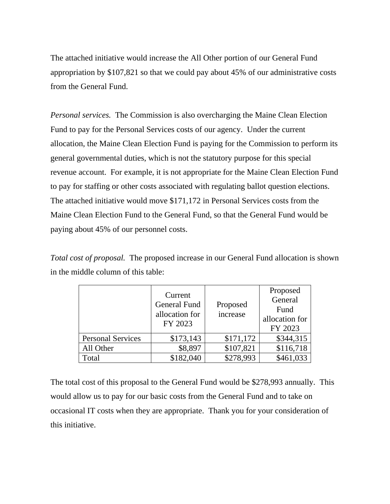The attached initiative would increase the All Other portion of our General Fund appropriation by \$107,821 so that we could pay about 45% of our administrative costs from the General Fund.

*Personal services.* The Commission is also overcharging the Maine Clean Election Fund to pay for the Personal Services costs of our agency. Under the current allocation, the Maine Clean Election Fund is paying for the Commission to perform its general governmental duties, which is not the statutory purpose for this special revenue account. For example, it is not appropriate for the Maine Clean Election Fund to pay for staffing or other costs associated with regulating ballot question elections. The attached initiative would move \$171,172 in Personal Services costs from the Maine Clean Election Fund to the General Fund, so that the General Fund would be paying about 45% of our personnel costs.

*Total cost of proposal.* The proposed increase in our General Fund allocation is shown in the middle column of this table:

|                          | Current<br><b>General Fund</b><br>allocation for<br>FY 2023 | Proposed<br>increase | Proposed<br>General<br>Fund<br>allocation for<br>FY 2023 |
|--------------------------|-------------------------------------------------------------|----------------------|----------------------------------------------------------|
| <b>Personal Services</b> | \$173,143                                                   | \$171,172            | \$344,315                                                |
| All Other                | \$8,897                                                     | \$107,821            | \$116,718                                                |
| Total                    | \$182,040                                                   | \$278,993            | \$461,033                                                |

The total cost of this proposal to the General Fund would be \$278,993 annually. This would allow us to pay for our basic costs from the General Fund and to take on occasional IT costs when they are appropriate. Thank you for your consideration of this initiative.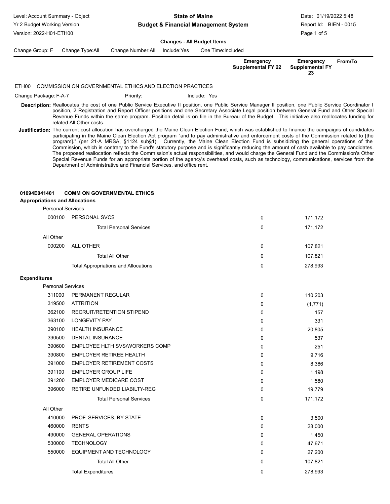Yr 2 Budget Working Version Version: 2022-H01-ETH00

#### Budget & Financial Management System State of Maine Level: Account Summary - Object **Date: 2019** Channel Count State of Maine **Date: 01/19/2022 5:48**

Page 1 of 5 Report Id: BIEN - 0015

# Changes - All Budget Items

Change Group: F Change Type:All Change Number:All Include:Yes One Time:Included

| Emergency          | Emergency              | From/To |
|--------------------|------------------------|---------|
| Supplemental FY 22 | <b>Supplemental FY</b> |         |
|                    | 23                     |         |

### ETH00 COMMISSION ON GOVERNMENTAL ETHICS AND ELECTION PRACTICES

Change Package: F-A-7 **Priority:** Priority: Include: Yes

- Description: Reallocates the cost of one Public Service Executive II position, one Public Service Manager II position, one Public Service Coordinator I position, 2 Registration and Report Officer positions and one Secretary Associate Legal position between General Fund and Other Special Revenue Funds within the same program. Position detail is on file in the Bureau of the Budget. This initiative also reallocates funding for related All Other costs.
- Justification: The current cost allocation has overcharged the Maine Clean Election Fund, which was established to finance the campaigns of candidates participating in the Maine Clean Election Act program "and to pay administrative and enforcement costs of the Commission related to [the program]." (per 21-A MRSA, §1124 sub§1). Currently, the Maine Clean Election Fund is subsidizing the general operations of the Commission, which is contrary to the Fund's statutory purpose and is significantly reducing the amount of cash available to pay candidates. The proposed reallocation reflects the Commission's actual responsibilities, and would charge the General Fund and the Commission's Other Special Revenue Funds for an appropriate portion of the agency's overhead costs, such as technology, communications, services from the Department of Administrative and Financial Services, and office rent.

## 01094E041401 COMM ON GOVERNMENTAL ETHICS

## Appropriations and Allocations

| <b>Personal Services</b> |                                             |   |         |
|--------------------------|---------------------------------------------|---|---------|
| 000100                   | PERSONAL SVCS                               | 0 | 171,172 |
|                          | <b>Total Personal Services</b>              | 0 | 171,172 |
| All Other                |                                             |   |         |
| 000200                   | ALL OTHER                                   | 0 | 107,821 |
|                          | Total All Other                             | 0 | 107,821 |
|                          | <b>Total Appropriations and Allocations</b> | 0 | 278,993 |
|                          |                                             |   |         |

## Expenditures

| <b>Personal Services</b> |                                  |   |         |
|--------------------------|----------------------------------|---|---------|
| 311000                   | PERMANENT REGULAR                | 0 | 110,203 |
| 319500                   | <b>ATTRITION</b>                 | 0 | (1,771) |
| 362100                   | RECRUIT/RETENTION STIPEND        | 0 | 157     |
| 363100                   | <b>LONGEVITY PAY</b>             | 0 | 331     |
| 390100                   | <b>HEALTH INSURANCE</b>          | 0 | 20,805  |
| 390500                   | <b>DENTAL INSURANCE</b>          | 0 | 537     |
| 390600                   | EMPLOYEE HLTH SVS/WORKERS COMP   | 0 | 251     |
| 390800                   | <b>EMPLOYER RETIREE HEALTH</b>   | 0 | 9,716   |
| 391000                   | <b>EMPLOYER RETIREMENT COSTS</b> | 0 | 8,386   |
| 391100                   | <b>EMPLOYER GROUP LIFE</b>       | 0 | 1,198   |
| 391200                   | <b>EMPLOYER MEDICARE COST</b>    | 0 | 1,580   |
| 396000                   | RETIRE UNFUNDED LIABILTY-REG     | 0 | 19,779  |
|                          | <b>Total Personal Services</b>   | 0 | 171,172 |
| All Other                |                                  |   |         |
| 410000                   | PROF. SERVICES, BY STATE         | 0 | 3,500   |
| 460000                   | <b>RENTS</b>                     | 0 | 28,000  |
| 490000                   | <b>GENERAL OPERATIONS</b>        | 0 | 1,450   |
| 530000                   | <b>TECHNOLOGY</b>                | 0 | 47,671  |
| 550000                   | EQUIPMENT AND TECHNOLOGY         | 0 | 27,200  |
|                          | <b>Total All Other</b>           | 0 | 107,821 |
|                          | <b>Total Expenditures</b>        | 0 | 278.993 |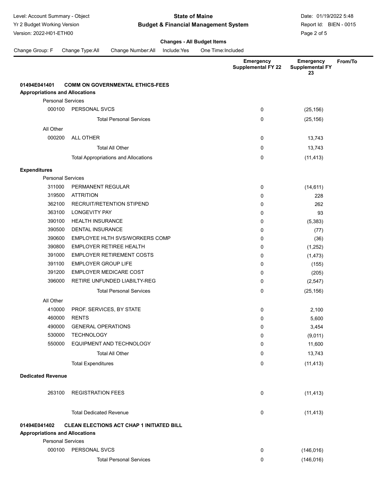Yr 2 Budget Working Version Version: 2022-H01-ETH00

### Budget & Financial Management System State of Maine Level: Account Summary - Object **Contract Contract Contract Contract Contract Contract Contract Contract Contract Contract Contract Contract Contract Contract Contract Contract Contract Contract Contract Contract Contract**

Page 2 of 5 Report Id: BIEN - 0015

# Changes - All Budget Items

Change Group: F Change Type:All Change Number:All Include:Yes One Time:Included

|                                                 |                                                  | <b>Emergency</b><br><b>Supplemental FY 22</b> | From/To<br><b>Emergency</b><br><b>Supplemental FY</b><br>23 |
|-------------------------------------------------|--------------------------------------------------|-----------------------------------------------|-------------------------------------------------------------|
| 01494E041401                                    | <b>COMM ON GOVERNMENTAL ETHICS-FEES</b>          |                                               |                                                             |
| <b>Appropriations and Allocations</b>           |                                                  |                                               |                                                             |
| <b>Personal Services</b>                        |                                                  |                                               |                                                             |
| 000100                                          | PERSONAL SVCS                                    | 0                                             | (25, 156)                                                   |
|                                                 | <b>Total Personal Services</b>                   | 0                                             | (25, 156)                                                   |
| All Other                                       |                                                  |                                               |                                                             |
| 000200                                          | <b>ALL OTHER</b>                                 | 0                                             | 13,743                                                      |
|                                                 | <b>Total All Other</b>                           | 0                                             | 13,743                                                      |
|                                                 | <b>Total Appropriations and Allocations</b>      | 0                                             | (11, 413)                                                   |
|                                                 |                                                  |                                               |                                                             |
| <b>Expenditures</b><br><b>Personal Services</b> |                                                  |                                               |                                                             |
| 311000                                          | PERMANENT REGULAR                                | 0                                             | (14, 611)                                                   |
| 319500                                          | <b>ATTRITION</b>                                 | 0                                             | 228                                                         |
| 362100                                          | RECRUIT/RETENTION STIPEND                        | 0                                             | 262                                                         |
| 363100                                          | <b>LONGEVITY PAY</b>                             | 0                                             | 93                                                          |
| 390100                                          | <b>HEALTH INSURANCE</b>                          | 0                                             | (5, 383)                                                    |
| 390500                                          | <b>DENTAL INSURANCE</b>                          | 0                                             | (77)                                                        |
| 390600                                          | <b>EMPLOYEE HLTH SVS/WORKERS COMP</b>            | 0                                             | (36)                                                        |
| 390800                                          | <b>EMPLOYER RETIREE HEALTH</b>                   | 0                                             | (1,252)                                                     |
| 391000                                          | <b>EMPLOYER RETIREMENT COSTS</b>                 | 0                                             | (1, 473)                                                    |
| 391100                                          | <b>EMPLOYER GROUP LIFE</b>                       | 0                                             | (155)                                                       |
| 391200                                          | <b>EMPLOYER MEDICARE COST</b>                    | 0                                             | (205)                                                       |
| 396000                                          | RETIRE UNFUNDED LIABILTY-REG                     | 0                                             | (2, 547)                                                    |
|                                                 | <b>Total Personal Services</b>                   | 0                                             | (25, 156)                                                   |
| All Other                                       |                                                  |                                               |                                                             |
| 410000                                          | PROF. SERVICES, BY STATE                         | 0                                             | 2,100                                                       |
| 460000                                          | <b>RENTS</b>                                     | 0                                             | 5,600                                                       |
| 490000                                          | <b>GENERAL OPERATIONS</b>                        | 0                                             | 3,454                                                       |
| 530000                                          | <b>TECHNOLOGY</b>                                | $\mathbf 0$                                   | (9,011)                                                     |
| 550000                                          | EQUIPMENT AND TECHNOLOGY                         | 0                                             | 11,600                                                      |
|                                                 | <b>Total All Other</b>                           | 0                                             | 13,743                                                      |
|                                                 | <b>Total Expenditures</b>                        | 0                                             | (11, 413)                                                   |
| <b>Dedicated Revenue</b>                        |                                                  |                                               |                                                             |
| 263100                                          | <b>REGISTRATION FEES</b>                         | 0                                             | (11, 413)                                                   |
|                                                 | <b>Total Dedicated Revenue</b>                   | 0                                             | (11, 413)                                                   |
| 01494E041402                                    | <b>CLEAN ELECTIONS ACT CHAP 1 INITIATED BILL</b> |                                               |                                                             |
| <b>Appropriations and Allocations</b>           |                                                  |                                               |                                                             |
| <b>Personal Services</b>                        |                                                  |                                               |                                                             |
|                                                 | 000100 PERSONAL SVCS                             | 0                                             | (146, 016)                                                  |
|                                                 | <b>Total Personal Services</b>                   | 0                                             | (146, 016)                                                  |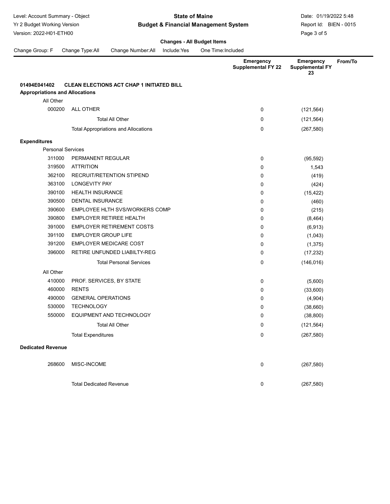Yr 2 Budget Working Version Version: 2022-H01-ETH00

### Budget & Financial Management System State of Maine Level: Account Summary - Object **Contract Contract Contract Contract Contract Contract Contract Contract Contract Contract Contract Contract Contract Contract Contract Contract Contract Contract Contract Contract Contract**

Page 3 of 5 Report Id: BIEN - 0015

From/To

|                                       |                            |                                                  | <b>Changes - All Budget Items</b> |                    |                                        |                                           |
|---------------------------------------|----------------------------|--------------------------------------------------|-----------------------------------|--------------------|----------------------------------------|-------------------------------------------|
| Change Group: F                       | Change Type: All           | Change Number: All                               | Include:Yes                       | One Time: Included |                                        |                                           |
|                                       |                            |                                                  |                                   |                    | Emergency<br><b>Supplemental FY 22</b> | <b>Emergency</b><br>Supplemental FY<br>23 |
| 01494E041402                          |                            | <b>CLEAN ELECTIONS ACT CHAP 1 INITIATED BILL</b> |                                   |                    |                                        |                                           |
| <b>Appropriations and Allocations</b> |                            |                                                  |                                   |                    |                                        |                                           |
| All Other                             |                            |                                                  |                                   |                    |                                        |                                           |
| 000200                                | <b>ALL OTHER</b>           |                                                  |                                   |                    | $\mathbf 0$                            | (121, 564)                                |
|                                       |                            | <b>Total All Other</b>                           |                                   |                    | $\mathbf 0$                            | (121, 564)                                |
|                                       |                            | <b>Total Appropriations and Allocations</b>      |                                   |                    | 0                                      | (267, 580)                                |
|                                       |                            |                                                  |                                   |                    |                                        |                                           |
| <b>Expenditures</b>                   |                            |                                                  |                                   |                    |                                        |                                           |
|                                       | <b>Personal Services</b>   |                                                  |                                   |                    |                                        |                                           |
| 311000                                | PERMANENT REGULAR          |                                                  |                                   |                    | 0                                      | (95, 592)                                 |
| 319500                                | <b>ATTRITION</b>           |                                                  |                                   |                    | 0                                      | 1,543                                     |
| 362100                                |                            | <b>RECRUIT/RETENTION STIPEND</b>                 |                                   |                    | 0                                      | (419)                                     |
| 363100                                | <b>LONGEVITY PAY</b>       |                                                  |                                   |                    | 0                                      | (424)                                     |
| 390100                                | <b>HEALTH INSURANCE</b>    |                                                  |                                   |                    | 0                                      | (15, 422)                                 |
| 390500                                | DENTAL INSURANCE           |                                                  |                                   |                    | 0                                      | (460)                                     |
| 390600                                |                            | EMPLOYEE HLTH SVS/WORKERS COMP                   |                                   |                    | 0                                      | (215)                                     |
| 390800                                |                            | <b>EMPLOYER RETIREE HEALTH</b>                   |                                   |                    | 0                                      | (8, 464)                                  |
| 391000                                |                            | <b>EMPLOYER RETIREMENT COSTS</b>                 |                                   |                    | 0                                      | (6,913)                                   |
| 391100                                | <b>EMPLOYER GROUP LIFE</b> |                                                  |                                   |                    | 0                                      | (1,043)                                   |
| 391200                                |                            | <b>EMPLOYER MEDICARE COST</b>                    |                                   |                    | 0                                      | (1, 375)                                  |
| 396000                                |                            | RETIRE UNFUNDED LIABILTY-REG                     |                                   |                    | $\mathbf 0$                            | (17, 232)                                 |
|                                       |                            | <b>Total Personal Services</b>                   |                                   |                    | 0                                      | (146, 016)                                |
| All Other                             |                            |                                                  |                                   |                    |                                        |                                           |
| 410000                                |                            | PROF. SERVICES, BY STATE                         |                                   |                    | 0                                      | (5,600)                                   |
| 460000                                | <b>RENTS</b>               |                                                  |                                   |                    | 0                                      | (33,600)                                  |
| 490000                                | <b>GENERAL OPERATIONS</b>  |                                                  |                                   |                    | 0                                      | (4,904)                                   |
| 530000                                | <b>TECHNOLOGY</b>          |                                                  |                                   |                    | 0                                      | (38,660)                                  |
| 550000                                |                            | EQUIPMENT AND TECHNOLOGY                         |                                   |                    | 0                                      | (38, 800)                                 |
|                                       |                            | <b>Total All Other</b>                           |                                   |                    | 0                                      | (121, 564)                                |
|                                       | <b>Total Expenditures</b>  |                                                  |                                   |                    | 0                                      | (267, 580)                                |
|                                       |                            |                                                  |                                   |                    |                                        |                                           |

Dedicated Revenue

| 268600 | MISC-INCOME                    | 0        | (267, 580) |
|--------|--------------------------------|----------|------------|
|        | <b>Total Dedicated Revenue</b> | $\Omega$ | (267, 580) |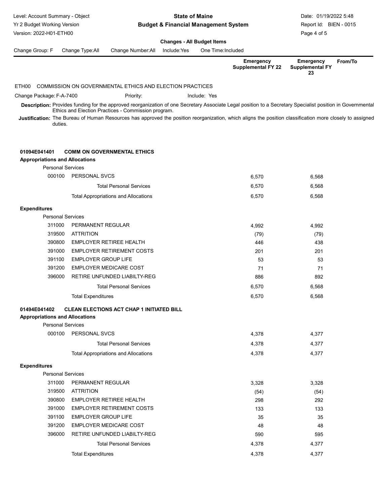| Level: Account Summary - Object<br>Yr 2 Budget Working Version<br>Version: 2022-H01-ETH00 |                            |                                                          | <b>State of Maine</b><br><b>Budget &amp; Financial Management System</b> | Date: 01/19/2022 5:48<br>Report Id: BIEN - 0015<br>Page 4 of 5 |                                                                                                                                                            |                                                  |         |
|-------------------------------------------------------------------------------------------|----------------------------|----------------------------------------------------------|--------------------------------------------------------------------------|----------------------------------------------------------------|------------------------------------------------------------------------------------------------------------------------------------------------------------|--------------------------------------------------|---------|
|                                                                                           |                            |                                                          | <b>Changes - All Budget Items</b>                                        |                                                                |                                                                                                                                                            |                                                  |         |
| Change Group: F                                                                           | Change Type:All            | Change Number: All                                       | Include:Yes                                                              | One Time: Included                                             |                                                                                                                                                            |                                                  |         |
|                                                                                           |                            |                                                          |                                                                          |                                                                | Emergency<br><b>Supplemental FY 22</b>                                                                                                                     | <b>Emergency</b><br><b>Supplemental FY</b><br>23 | From/To |
| ETH00                                                                                     |                            | COMMISSION ON GOVERNMENTAL ETHICS AND ELECTION PRACTICES |                                                                          |                                                                |                                                                                                                                                            |                                                  |         |
| Change Package: F-A-7400                                                                  |                            | Priority:                                                |                                                                          | Include: Yes                                                   |                                                                                                                                                            |                                                  |         |
|                                                                                           |                            |                                                          |                                                                          |                                                                | Description: Provides funding for the approved reorganization of one Secretary Associate Legal position to a Secretary Specialist position in Governmental |                                                  |         |
| duties.                                                                                   |                            | Ethics and Election Practices - Commission program.      |                                                                          |                                                                | Justification: The Bureau of Human Resources has approved the position reorganization, which aligns the position classification more closely to assigned   |                                                  |         |
| 01094E041401<br><b>Appropriations and Allocations</b><br><b>Personal Services</b>         |                            | <b>COMM ON GOVERNMENTAL ETHICS</b>                       |                                                                          |                                                                |                                                                                                                                                            |                                                  |         |
|                                                                                           | 000100 PERSONAL SVCS       |                                                          |                                                                          |                                                                | 6,570                                                                                                                                                      | 6,568                                            |         |
|                                                                                           |                            | <b>Total Personal Services</b>                           |                                                                          |                                                                | 6,570                                                                                                                                                      | 6,568                                            |         |
|                                                                                           |                            | <b>Total Appropriations and Allocations</b>              |                                                                          |                                                                | 6,570                                                                                                                                                      | 6,568                                            |         |
| <b>Expenditures</b>                                                                       |                            |                                                          |                                                                          |                                                                |                                                                                                                                                            |                                                  |         |
| <b>Personal Services</b>                                                                  |                            |                                                          |                                                                          |                                                                |                                                                                                                                                            |                                                  |         |
| 311000                                                                                    | PERMANENT REGULAR          |                                                          |                                                                          |                                                                | 4,992                                                                                                                                                      | 4,992                                            |         |
| 319500                                                                                    | <b>ATTRITION</b>           |                                                          |                                                                          |                                                                | (79)                                                                                                                                                       | (79)                                             |         |
| 390800                                                                                    |                            | <b>EMPLOYER RETIREE HEALTH</b>                           |                                                                          |                                                                | 446                                                                                                                                                        | 438                                              |         |
| 391000                                                                                    |                            | <b>EMPLOYER RETIREMENT COSTS</b>                         |                                                                          |                                                                | 201                                                                                                                                                        | 201                                              |         |
| 391100                                                                                    | <b>EMPLOYER GROUP LIFE</b> |                                                          |                                                                          |                                                                | 53                                                                                                                                                         | 53                                               |         |
| 391200                                                                                    |                            | <b>EMPLOYER MEDICARE COST</b>                            |                                                                          |                                                                | 71                                                                                                                                                         | 71                                               |         |
| 396000                                                                                    |                            | RETIRE UNFUNDED LIABILTY-REG                             |                                                                          |                                                                | 886                                                                                                                                                        | 892                                              |         |
|                                                                                           |                            | <b>Total Personal Services</b>                           |                                                                          |                                                                | 6,570                                                                                                                                                      | 6,568                                            |         |
|                                                                                           | <b>Total Expenditures</b>  |                                                          |                                                                          |                                                                | 6,570                                                                                                                                                      | 6,568                                            |         |
| 01494E041402<br><b>Appropriations and Allocations</b><br><b>Personal Services</b>         |                            | <b>CLEAN ELECTIONS ACT CHAP 1 INITIATED BILL</b>         |                                                                          |                                                                |                                                                                                                                                            |                                                  |         |
|                                                                                           | 000100 PERSONAL SVCS       |                                                          |                                                                          |                                                                | 4,378                                                                                                                                                      | 4,377                                            |         |
|                                                                                           |                            | <b>Total Personal Services</b>                           |                                                                          |                                                                | 4,378                                                                                                                                                      | 4,377                                            |         |
|                                                                                           |                            | <b>Total Appropriations and Allocations</b>              |                                                                          |                                                                | 4,378                                                                                                                                                      | 4,377                                            |         |
| <b>Expenditures</b>                                                                       |                            |                                                          |                                                                          |                                                                |                                                                                                                                                            |                                                  |         |
| <b>Personal Services</b>                                                                  |                            |                                                          |                                                                          |                                                                |                                                                                                                                                            |                                                  |         |
| 311000                                                                                    | PERMANENT REGULAR          |                                                          |                                                                          |                                                                | 3,328                                                                                                                                                      | 3,328                                            |         |
| 319500                                                                                    | <b>ATTRITION</b>           |                                                          |                                                                          |                                                                | (54)                                                                                                                                                       | (54)                                             |         |
| 390800                                                                                    |                            | <b>EMPLOYER RETIREE HEALTH</b>                           |                                                                          |                                                                | 298                                                                                                                                                        | 292                                              |         |
| 391000                                                                                    |                            | <b>EMPLOYER RETIREMENT COSTS</b>                         |                                                                          |                                                                | 133                                                                                                                                                        | 133                                              |         |
| 391100<br>391200                                                                          | <b>EMPLOYER GROUP LIFE</b> | <b>EMPLOYER MEDICARE COST</b>                            |                                                                          |                                                                | 35                                                                                                                                                         | 35                                               |         |
| 396000                                                                                    |                            | RETIRE UNFUNDED LIABILTY-REG                             |                                                                          |                                                                | 48<br>590                                                                                                                                                  | 48                                               |         |
|                                                                                           |                            |                                                          |                                                                          |                                                                |                                                                                                                                                            | 595                                              |         |
|                                                                                           |                            | <b>Total Personal Services</b>                           |                                                                          |                                                                | 4,378                                                                                                                                                      | 4,377                                            |         |
|                                                                                           | <b>Total Expenditures</b>  |                                                          |                                                                          |                                                                | 4,378                                                                                                                                                      | 4,377                                            |         |